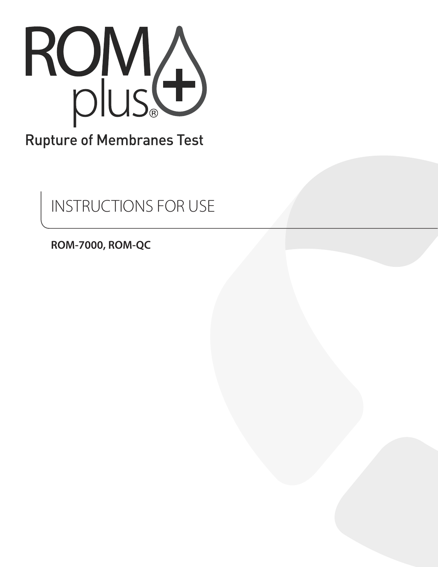

# **Rupture of Membranes Test**

INSTRUCTIONS FOR USE

**ROM-7000, ROM-QC**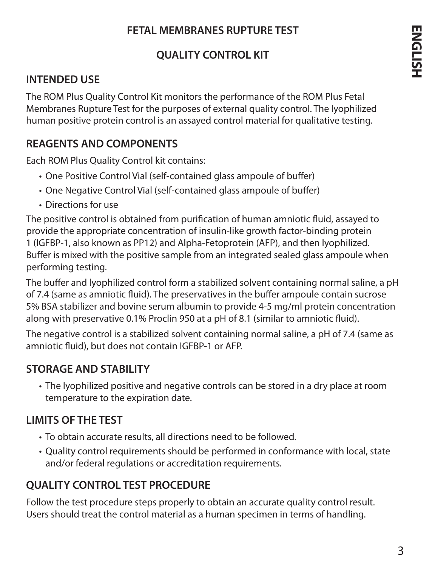#### **FETAL MEMBRANES RUPTURE TEST**

# **QUALITY CONTROL KIT**

#### **INTENDED USE**

The ROM Plus Quality Control Kit monitors the performance of the ROM Plus Fetal Membranes Rupture Test for the purposes of external quality control. The lyophilized human positive protein control is an assayed control material for qualitative testing.

#### **REAGENTS AND COMPONENTS**

Each ROM Plus Quality Control kit contains:

- One Positive Control Vial (self-contained glass ampoule of buffer)
- One Negative Control Vial (self-contained glass ampoule of buffer)
- Directions for use

The positive control is obtained from purification of human amniotic fluid, assayed to provide the appropriate concentration of insulin-like growth factor-binding protein 1 (IGFBP-1, also known as PP12) and Alpha-Fetoprotein (AFP), and then lyophilized. Buffer is mixed with the positive sample from an integrated sealed glass ampoule when performing testing.

The buffer and lyophilized control form a stabilized solvent containing normal saline, a pH of 7.4 (same as amniotic fluid). The preservatives in the buffer ampoule contain sucrose 5% BSA stabilizer and bovine serum albumin to provide 4-5 mg/ml protein concentration along with preservative 0.1% Proclin 950 at a pH of 8.1 (similar to amniotic fluid).

The negative control is a stabilized solvent containing normal saline, a pH of 7.4 (same as amniotic fluid), but does not contain IGFBP-1 or AFP.

# **STORAGE AND STABILITY**

• The lyophilized positive and negative controls can be stored in a dry place at room temperature to the expiration date.

# **LIMITS OF THE TEST**

- To obtain accurate results, all directions need to be followed.
- Quality control requirements should be performed in conformance with local, state and/or federal regulations or accreditation requirements.

# **QUALITY CONTROL TEST PROCEDURE**

Follow the test procedure steps properly to obtain an accurate quality control result. Users should treat the control material as a human specimen in terms of handling.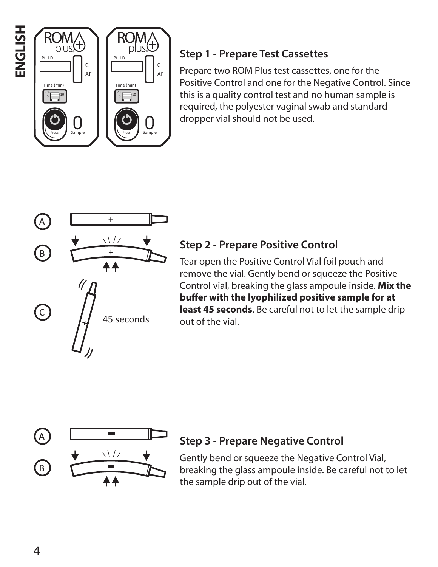

# **Step 1 - Prepare Test Cassettes**

Prepare two ROM Plus test cassettes, one for the Positive Control and one for the Negative Control. Since this is a quality control test and no human sample is required, the polyester vaginal swab and standard dropper vial should not be used.



#### **Step 2 - Prepare Positive Control**

Tear open the Positive Control Vial foil pouch and remove the vial. Gently bend or squeeze the Positive Control vial, breaking the glass ampoule inside. **Mix the buffer with the lyophilized positive sample for at least 45 seconds**. Be careful not to let the sample drip out of the vial.



# **Step 3 - Prepare Negative Control**

Gently bend or squeeze the Negative Control Vial, breaking the glass ampoule inside. Be careful not to let the sample drip out of the vial.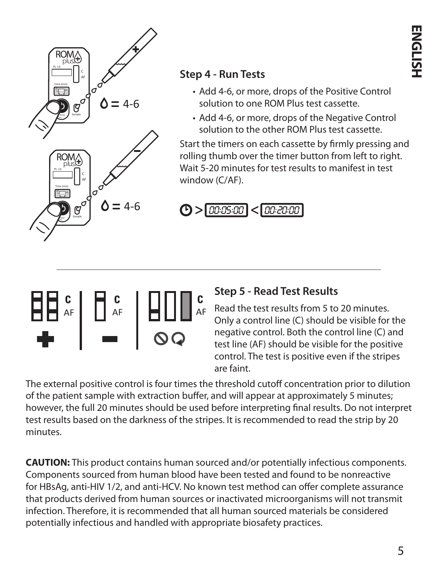

#### **Step 4 - Run Tests**

- Add 4-6, or more, drops of the Positive Control solution to one ROM Plus test cassette.
- Add 4-6, or more, drops of the Negative Control solution to the other ROM Plus test cassette.

Start the timers on each cassette by firmly pressing and rolling thumb over the timer button from left to right. Wait 5-20 minutes for test results to manifest in test window (C/AF).



# **Step 5 - Read Test Results**

Read the test results from 5 to 20 minutes. Only a control line (C) should be visible for the negative control. Both the control line (C) and test line (AF) should be visible for the positive control. The test is positive even if the stripes are faint.

The external positive control is four times the threshold cutoff concentration prior to dilution of the patient sample with extraction buffer, and will appear at approximately 5 minutes; however, the full 20 minutes should be used before interpreting final results. Do not interpret test results based on the darkness of the stripes. It is recommended to read the strip by 20 minutes.

**CAUTION:** This product contains human sourced and/or potentially infectious components. Components sourced from human blood have been tested and found to be nonreactive for HBsAg, anti-HIV 1/2, and anti-HCV. No known test method can offer complete assurance that products derived from human sources or inactivated microorganisms will not transmit infection. Therefore, it is recommended that all human sourced materials be considered potentially infectious and handled with appropriate biosafety practices.